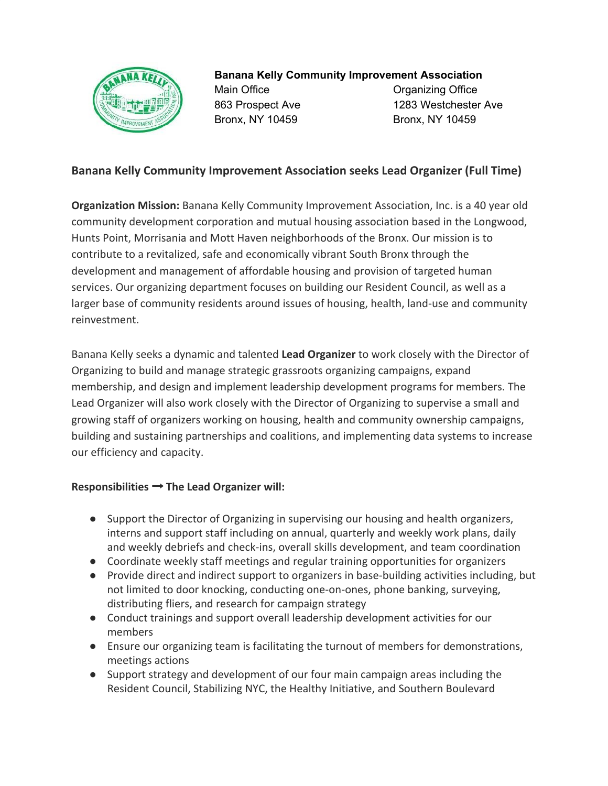

**Banana Kelly Community Improvement Association**

Main Office **Contact Contact Contact Contact Contact Contact Contact Contact Contact Contact Contact Contact Contact Contact Contact Contact Contact Contact Contact Contact Contact Contact Contact Contact Contact Contact C** Bronx, NY 10459 Bronx, NY 10459

863 Prospect Ave 1283 Westchester Ave

## **Banana Kelly Community Improvement Association seeks Lead Organizer (Full Time)**

**Organization Mission:** Banana Kelly Community Improvement Association, Inc. is a 40 year old community development corporation and mutual housing association based in the Longwood, Hunts Point, Morrisania and Mott Haven neighborhoods of the Bronx. Our mission is to contribute to a revitalized, safe and economically vibrant South Bronx through the development and management of affordable housing and provision of targeted human services. Our organizing department focuses on building our Resident Council, as well as a larger base of community residents around issues of housing, health, land-use and community reinvestment.

Banana Kelly seeks a dynamic and talented **Lead Organizer** to work closely with the Director of Organizing to build and manage strategic grassroots organizing campaigns, expand membership, and design and implement leadership development programs for members. The Lead Organizer will also work closely with the Director of Organizing to supervise a small and growing staff of organizers working on housing, health and community ownership campaigns, building and sustaining partnerships and coalitions, and implementing data systems to increase our efficiency and capacity.

## **Responsibilities** → **The Lead Organizer will:**

- Support the Director of Organizing in supervising our housing and health organizers, interns and support staff including on annual, quarterly and weekly work plans, daily and weekly debriefs and check-ins, overall skills development, and team coordination
- Coordinate weekly staff meetings and regular training opportunities for organizers
- Provide direct and indirect support to organizers in base-building activities including, but not limited to door knocking, conducting one-on-ones, phone banking, surveying, distributing fliers, and research for campaign strategy
- Conduct trainings and support overall leadership development activities for our members
- Ensure our organizing team is facilitating the turnout of members for demonstrations, meetings actions
- Support strategy and development of our four main campaign areas including the Resident Council, Stabilizing NYC, the Healthy Initiative, and Southern Boulevard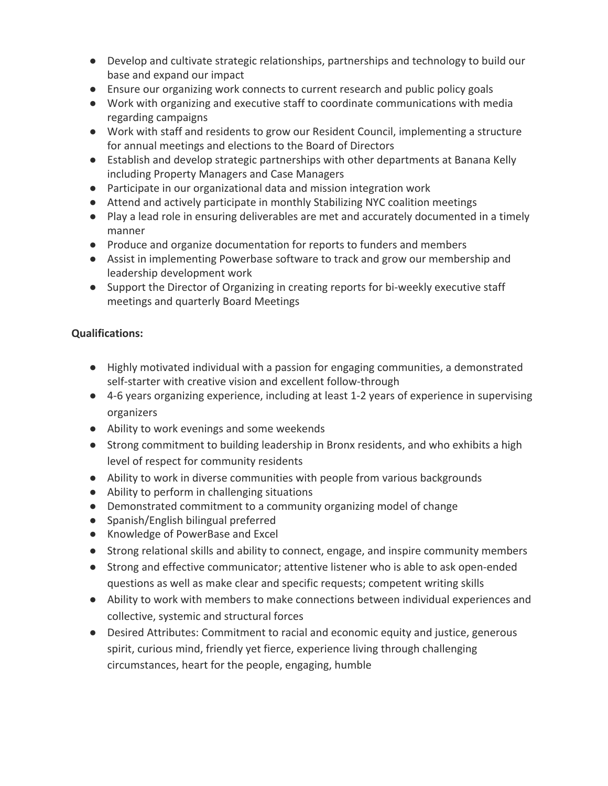- Develop and cultivate strategic relationships, partnerships and technology to build our base and expand our impact
- Ensure our organizing work connects to current research and public policy goals
- Work with organizing and executive staff to coordinate communications with media regarding campaigns
- Work with staff and residents to grow our Resident Council, implementing a structure for annual meetings and elections to the Board of Directors
- Establish and develop strategic partnerships with other departments at Banana Kelly including Property Managers and Case Managers
- Participate in our organizational data and mission integration work
- Attend and actively participate in monthly Stabilizing NYC coalition meetings
- Play a lead role in ensuring deliverables are met and accurately documented in a timely manner
- Produce and organize documentation for reports to funders and members
- Assist in implementing Powerbase software to track and grow our membership and leadership development work
- Support the Director of Organizing in creating reports for bi-weekly executive staff meetings and quarterly Board Meetings

## **Qualifications:**

- Highly motivated individual with a passion for engaging communities, a demonstrated self-starter with creative vision and excellent follow-through
- 4-6 years organizing experience, including at least 1-2 years of experience in supervising organizers
- Ability to work evenings and some weekends
- Strong commitment to building leadership in Bronx residents, and who exhibits a high level of respect for community residents
- Ability to work in diverse communities with people from various backgrounds
- Ability to perform in challenging situations
- Demonstrated commitment to a community organizing model of change
- Spanish/English bilingual preferred
- Knowledge of PowerBase and Excel
- Strong relational skills and ability to connect, engage, and inspire community members
- Strong and effective communicator; attentive listener who is able to ask open-ended questions as well as make clear and specific requests; competent writing skills
- Ability to work with members to make connections between individual experiences and collective, systemic and structural forces
- Desired Attributes: Commitment to racial and economic equity and justice, generous spirit, curious mind, friendly yet fierce, experience living through challenging circumstances, heart for the people, engaging, humble